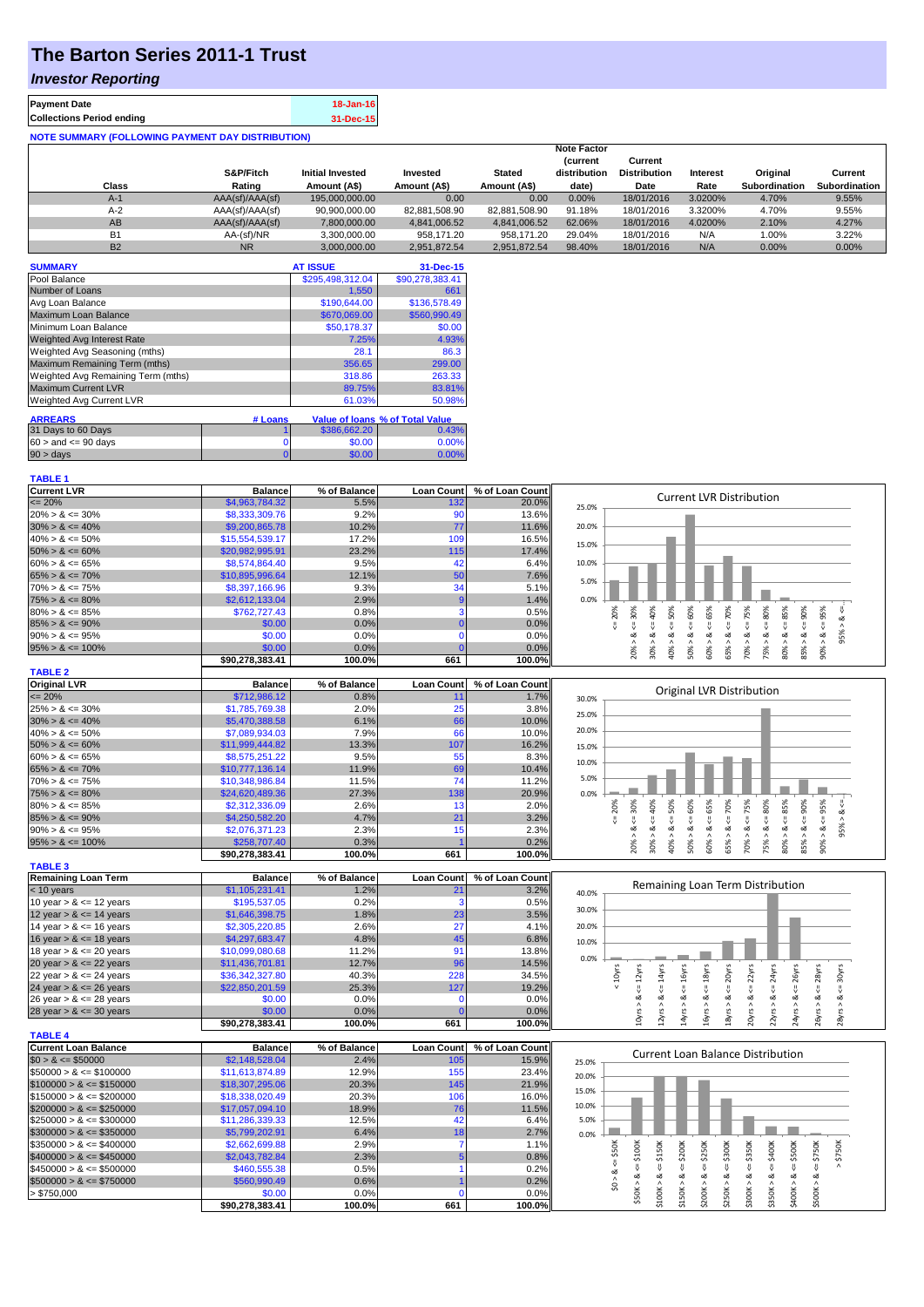## **The Barton Series 2011-1 Trust**

## *Investor Reporting*

| <b>Payment Date</b>                                      | 18-Jan-16 |
|----------------------------------------------------------|-----------|
| <b>Collections Period ending</b>                         | 31-Dec-15 |
| <b>NOTE SUMMARY (FOLLOWING PAYMENT DAY DISTRIBUTION)</b> |           |

| Class     | S&P/Fitch<br>Rating | <b>Initial Invested</b><br>Amount (A\$) | Invested<br>Amount (A\$) | <b>Stated</b><br>Amount (A\$) | <b>Note Factor</b><br><b>Current</b><br>distribution<br>date) | Current<br><b>Distribution</b><br>Date | Interest<br>Rate | Original<br><b>Subordination</b> | Current<br><b>Subordination</b> |
|-----------|---------------------|-----------------------------------------|--------------------------|-------------------------------|---------------------------------------------------------------|----------------------------------------|------------------|----------------------------------|---------------------------------|
| $A-1$     | AAA(sf)/AAA(sf)     | 195,000,000,00                          | 0.00                     | 0.00                          | 0.00%                                                         | 18/01/2016                             | 3.0200%          | 4.70%                            | 9.55%                           |
| $A-2$     | AAA(sf)/AAA(sf)     | 90.900.000.00                           | 82.881.508.90            | 82.881.508.90                 | 91.18%                                                        | 18/01/2016                             | 3.3200%          | 4.70%                            | $9.55\%$                        |
| AB        | AAA(sf)/AAA(sf)     | 7.800.000.00                            | 4.841.006.52             | 4.841.006.52                  | 62.06%                                                        | 18/01/2016                             | 4.0200%          | 2.10%                            | 4.27%                           |
| <b>B1</b> | AA-(sf)/NR          | 3.300.000.00                            | 958.171.20               | 958.171.20                    | 29.04%                                                        | 18/01/2016                             | N/A              | 1.00%                            | 3.22%                           |
| <b>B2</b> | <b>NR</b>           | 3.000.000.00                            | 2.951.872.54             | 2.951.872.54                  | 98.40%                                                        | 18/01/2016                             | N/A              | 0.00%                            | $0.00\%$                        |

| <b>SUMMARY</b>                     |         | <b>AT ISSUE</b>  | 31-Dec-15                       |
|------------------------------------|---------|------------------|---------------------------------|
| Pool Balance                       |         | \$295,498,312.04 | \$90,278,383.41                 |
| Number of Loans                    |         | 1.550            | 661                             |
| Avg Loan Balance                   |         | \$190,644.00     | \$136,578.49                    |
| Maximum Loan Balance               |         | \$670,069.00     | \$560,990.49                    |
| Minimum Loan Balance               |         | \$50,178.37      | \$0.00                          |
| <b>Weighted Avg Interest Rate</b>  |         | 7.25%            | 4.93%                           |
| Weighted Avg Seasoning (mths)      |         | 28.1             | 86.3                            |
| Maximum Remaining Term (mths)      |         | 356.65           | 299.00                          |
| Weighted Avg Remaining Term (mths) |         | 318.86           | 263.33                          |
| <b>Maximum Current LVR</b>         |         | 89.75%           | 83.81%                          |
| Weighted Avg Current LVR           |         | 61.03%           | 50.98%                          |
| <b>ARREARS</b>                     | # Loans |                  | Value of Ioans % of Total Value |
| 31 Days to 60 Days                 |         | \$386,662.20     | 0.43%                           |
| $60 >$ and $\leq 90$ days          | 0       | \$0.00           | 0.00%                           |
| $90 > \text{days}$                 | 0       | \$0.00           | 0.00%                           |

| <b>Current LVR</b>   | <b>Balance</b>  | % of Balance | <b>Loan Count</b> | % of Loan Count |       |    |   |   |   |   |      |                                 |    |   |  |
|----------------------|-----------------|--------------|-------------------|-----------------|-------|----|---|---|---|---|------|---------------------------------|----|---|--|
| $\leq$ 20%           | \$4,963,784.32  | 5.5%         | 132               | 20.0%           | 25.0% |    |   |   |   |   |      | <b>Current LVR Distribution</b> |    |   |  |
| $20\% > 8 \le 30\%$  | \$8,333,309.76  | 9.2%         |                   | $13.6\%$        |       |    |   |   |   |   |      |                                 |    |   |  |
| $30\% > 8 \le 40\%$  | \$9,200,865.78  | 10.2%        | 77                | 11.6%           | 20.0% |    |   |   |   |   |      |                                 |    |   |  |
| $40\% > 8 \le 50\%$  | \$15,554,539.17 | 17.2%        | 109               | 16.5%           | 15.0% |    |   |   |   |   |      |                                 |    |   |  |
| $50\% > 8 \le 60\%$  | \$20,982,995.91 | 23.2%        | 115               | 17.4%           |       |    |   |   |   |   |      |                                 |    |   |  |
| $60\% > 8 \le 65\%$  | \$8,574,864.40  | 9.5%         |                   | 6.4%            | 10.0% |    |   |   |   |   |      |                                 |    |   |  |
| $65\% > 8 \le 70\%$  | \$10,895,996.64 | 12.1%        | 50                | 7.6%            | 5.0%  |    |   |   |   |   |      |                                 |    |   |  |
| $70\% > 8 \le 75\%$  | \$8,397,166.96  | 9.3%         | 34                | 5.1%            |       |    |   |   |   |   |      |                                 |    |   |  |
| $75\% > 8 \le 80\%$  | \$2,612,133.04  | 2.9%         |                   | 1.4%            | 0.0%  |    |   |   |   |   |      |                                 |    |   |  |
| $80\% > 8 \le 85\%$  | \$762,727.43    | 0.8%         |                   | 0.5%            |       |    |   |   | ŝ |   | ∘    |                                 |    | ∝ |  |
| $85\% > 8 \le 90\%$  | \$0.00          | 0.0%         |                   | $0.0\%$         |       |    |   |   |   |   |      |                                 |    |   |  |
| $90\% > 8 \le 95\%$  | \$0.00          | 0.0%         |                   | $0.0\%$         |       |    |   |   |   |   |      |                                 |    |   |  |
| $95\% > 8 \le 100\%$ | \$0.00          | 0.0%         |                   | 0.0%            |       |    |   | ð | š | န | ន្លិ | ŭ.                              |    |   |  |
|                      | \$90.278.383.41 | 100.0%       | 661               | 100.0%          |       | 20 | ğ |   |   |   |      | Ř                               | 80 |   |  |

 $95% > 8 <=$ .

16yrs > & <= 18yrs 18yrs > & <= 20yrs  $20yrs > 8s \le 22yrs$  $22yrs > 8 <= 24yrs$  $24yrs > 8s \leq 26yrs$ 26yrs > & <= 28yrs 28yrs > & <= 30yrs

 $yrs > 8 \le 26yrs$  $\frac{1}{2}$   $\gamma$ rs > & <= 28yrs  $8yrs > 8 \le 30yrs$ 

| <b>TABLE 2</b>       |                 |              |                   |                 |       |     |     |    |     |                           |       |    |     |      |            |     |     |
|----------------------|-----------------|--------------|-------------------|-----------------|-------|-----|-----|----|-----|---------------------------|-------|----|-----|------|------------|-----|-----|
| <b>Original LVR</b>  | <b>Balance</b>  | % of Balance | <b>Loan Count</b> | % of Loan Count |       |     |     |    |     |                           |       |    |     |      |            |     |     |
| $\leq$ 20%           | \$712,986.12    | 0.8%         |                   | 1.7%            | 30.0% |     |     |    |     | Original LVR Distribution |       |    |     |      |            |     |     |
| $25\% > 8 \le 30\%$  | \$1,785,769.38  | 2.0%         | 25                | 3.8%            | 25.0% |     |     |    |     |                           |       |    |     |      |            |     |     |
| $30\% > 8 \le 40\%$  | \$5,470,388.58  | 6.1%         | 66                | 10.0%           |       |     |     |    |     |                           |       |    |     |      |            |     |     |
| $40\% > 8 \le 50\%$  | \$7,089,934,03  | 7.9%         | 66                | 10.0%           | 20.0% |     |     |    |     |                           |       |    |     |      |            |     |     |
| $50\% > 8 \le 60\%$  | \$11,999,444.82 | 13.3%        | 107               | 16.2%           | 15.0% |     |     |    |     |                           |       |    |     |      |            |     |     |
| $60\% > 8 \le 65\%$  | \$8,575,251.22  | 9.5%         | 55                | 8.3%            | 10.0% |     |     |    |     |                           |       |    |     |      |            |     |     |
| $65\% > 8 \le 70\%$  | \$10,777,136,14 | 11.9%        | 69                | 10.4%           |       |     |     |    |     |                           |       |    |     |      |            |     |     |
| $70\% > 8 \le 75\%$  | \$10,348,986.84 | 11.5%        | 74                | 11.2%           | 5.0%  |     |     |    |     |                           |       |    |     |      |            |     |     |
| $75\% > 8 \le 80\%$  | \$24,620,489.36 | 27.3%        | 138               | 20.9%           | 0.0%  |     |     |    |     |                           |       |    |     |      |            |     |     |
| $80\% > 8 \le 85\%$  | \$2,312,336.09  | 2.6%         | 13                | 2.0%            |       | 20% | 30% | P% | 50% | š                         | $5\%$ | కి | ္တိ | ន្ណិ | <b>S5%</b> | 80% | 95% |
| $85\% > 8 \le 90\%$  | \$4,250,582,20  | 4.7%         | 21                | 3.2%            |       |     |     |    |     |                           |       |    |     |      |            |     |     |
| $90\% > 8 \le 95\%$  | \$2,076,371.23  | 2.3%         | 15 <sub>1</sub>   | 2.3%            |       |     | o7  |    | ∞   |                           | œ     |    | ∝   |      |            |     | ∝   |
| $95\% > 8 \le 100\%$ | \$258,707.40    | 0.3%         |                   | 0.2%            |       |     |     | ŝ  | ੂੈ  | 50%                       | င္ဟ   | និ | ĝ   | ∝    | 80%        | 85% | 90% |
|                      | \$90.278.383.41 | 100.0%       | 661               | 100.0%          |       |     | 209 |    |     |                           |       |    |     | Ř    |            |     |     |

| <b>TABLE 3</b>             |                 |              |                   |                 |       |   |                                  |   |          |   |   |             |  |
|----------------------------|-----------------|--------------|-------------------|-----------------|-------|---|----------------------------------|---|----------|---|---|-------------|--|
| <b>Remaining Loan Term</b> | <b>Balance</b>  | % of Balance | <b>Loan Count</b> | % of Loan Count |       |   |                                  |   |          |   |   |             |  |
| $<$ 10 years               | \$1,105,231.41  | 1.2%         |                   | 3.2%            | 40.0% |   | Remaining Loan Term Distribution |   |          |   |   |             |  |
| 10 year $> 8 \le 12$ years | \$195,537.05    | 0.2%         |                   | 0.5%            |       |   |                                  |   |          |   |   |             |  |
| 12 year $> 8 \le 14$ years | \$1,646,398.75  | 1.8%         | 23                | 3.5%            | 30.0% |   |                                  |   |          |   |   |             |  |
| 14 year $> 8 \le 16$ years | \$2,305,220.85  | 2.6%         | 27                | 4.1%            | 20.0% |   |                                  |   |          |   |   |             |  |
| 16 year $> 8 \le 18$ years | \$4,297,683.47  | 4.8%         | 45                | 6.8%            | 10.0% |   |                                  |   |          |   |   |             |  |
| 18 year $> 8 \le 20$ years | \$10,099,080.68 | 11.2%        | 91                | 13.8%           |       |   |                                  |   |          |   |   |             |  |
| 20 year $> 8 \le 22$ years | \$11,436,701.81 | 12.7%        | 96                | 14.5%           | 0.0%  |   |                                  |   |          |   |   |             |  |
| 22 year $> 8 \le 24$ years | \$36,342,327.80 | 40.3%        | 228               | 34.5%           |       | Ñ |                                  | ఠ | ৯        | ξ | Σ |             |  |
| 24 year $> 8 \le 26$ years | \$22,850,201.59 | 25.3%        | 127               | 19.2%           |       |   |                                  |   |          |   |   |             |  |
| 26 year $> 8 \le 28$ years | \$0.00          | $0.0\%$      |                   | 0.0%            |       |   |                                  |   | $\alpha$ |   |   |             |  |
| 28 year $> 8 \le 30$ years | \$0.00          | 0.0%         |                   | 0.0%            |       |   |                                  |   |          |   |   |             |  |
|                            | \$90.278.383.41 | 100.0%       | 661               | 100.0%          |       | ≘ |                                  |   | œ        | ౚ | Ċ | Ń<br>$\sim$ |  |

| <b>TABLE 4</b>               |                 |              |                   |                 |       |  |     |                       |        |   |                                   |     |   |  |
|------------------------------|-----------------|--------------|-------------------|-----------------|-------|--|-----|-----------------------|--------|---|-----------------------------------|-----|---|--|
| <b>Current Loan Balance</b>  | <b>Balance</b>  | % of Balance | <b>Loan Count</b> | % of Loan Count |       |  |     |                       |        |   | Current Loan Balance Distribution |     |   |  |
| $$0 > 8 \leq $50000$         | \$2,148,528.04  | 2.4%         | 105               | 15.9%           | 25.0% |  |     |                       |        |   |                                   |     |   |  |
| $\$50000 > 8 \leq \$100000$  | \$11,613,874.89 | 12.9%        | 155               | 23.4%           | 20.0% |  |     |                       |        |   |                                   |     |   |  |
| $$100000 > 8 \leq $150000$   | \$18,307,295,06 | 20.3%        | 145               | 21.9%           |       |  |     |                       |        |   |                                   |     |   |  |
| $\$150000 > 8 \leq \$200000$ | \$18,338,020.49 | 20.3%        | 106               | 16.0%           | 15.0% |  |     |                       |        |   |                                   |     |   |  |
| $$200000 > 8 \leq $250000$   | \$17.057.094.10 | 18.9%        | 76                | 11.5%           | 10.0% |  |     |                       |        |   |                                   |     |   |  |
| $\$250000 > 8 \leq \$300000$ | \$11,286,339.33 | 12.5%        | 42                | 6.4%            | 5.0%  |  |     |                       |        |   |                                   |     |   |  |
| $$300000 > 8 \leq $350000$   | \$5.799.202.91  | 6.4%         | 18 <sub>1</sub>   | 2.7%            | 0.0%  |  |     |                       |        |   |                                   |     |   |  |
| $\$350000 > 8 \leq \$400000$ | \$2,662,699.88  | 2.9%         |                   | 1.1%            |       |  | 200 |                       | 300K   | š | 8                                 | DOK | ă |  |
| $$400000 > 8 \leq $450000$   | \$2,043,782,84  | 2.3%         |                   | 0.8%            |       |  |     | \$250K                |        |   |                                   |     | ∴ |  |
| $$450000 > 8 \leq $500000$   | \$460,555,38    | 0.5%         |                   | 0.2%            |       |  |     |                       |        |   |                                   |     |   |  |
| $$500000 > 8 \leq $750000$   | \$560,990.49    | $0.6\%$      |                   | 0.2%            |       |  |     |                       |        |   |                                   | œ   |   |  |
| > \$750,000                  | \$0.00          | 0.0%         |                   | $0.0\%$         |       |  |     |                       |        |   |                                   |     |   |  |
|                              | \$90.278.383.41 | 100.0%       | 661               | 100.0%          |       |  |     | $\bar{\mathbf{\sim}}$ | $\sim$ | m |                                   |     | m |  |